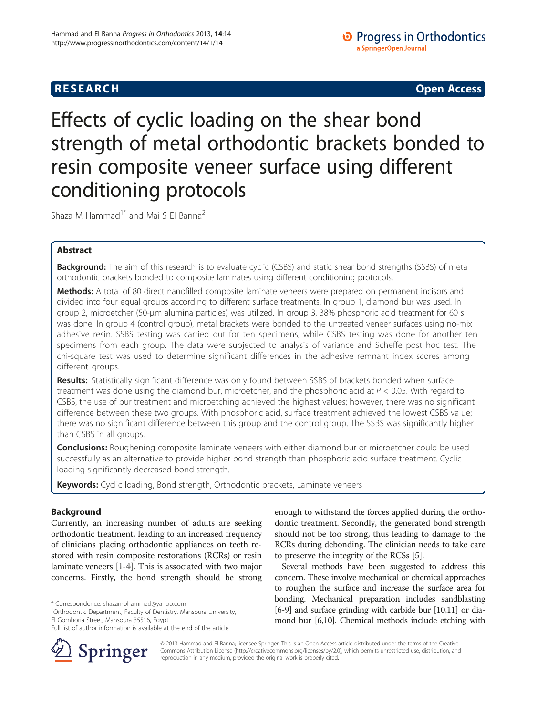# **RESEARCH CHINESE ARCH CHINESE ARCH CHINESE ARCH <b>CHINESE ARCH**

# Effects of cyclic loading on the shear bond strength of metal orthodontic brackets bonded to resin composite veneer surface using different conditioning protocols

Shaza M Hammad<sup>1\*</sup> and Mai S El Banna<sup>2</sup>

# Abstract

Background: The aim of this research is to evaluate cyclic (CSBS) and static shear bond strengths (SSBS) of metal orthodontic brackets bonded to composite laminates using different conditioning protocols.

**Methods:** A total of 80 direct nanofilled composite laminate veneers were prepared on permanent incisors and divided into four equal groups according to different surface treatments. In group 1, diamond bur was used. In group 2, microetcher (50-μm alumina particles) was utilized. In group 3, 38% phosphoric acid treatment for 60 s was done. In group 4 (control group), metal brackets were bonded to the untreated veneer surfaces using no-mix adhesive resin. SSBS testing was carried out for ten specimens, while CSBS testing was done for another ten specimens from each group. The data were subjected to analysis of variance and Scheffe post hoc test. The chi-square test was used to determine significant differences in the adhesive remnant index scores among different groups.

Results: Statistically significant difference was only found between SSBS of brackets bonded when surface treatment was done using the diamond bur, microetcher, and the phosphoric acid at  $P < 0.05$ . With regard to CSBS, the use of bur treatment and microetching achieved the highest values; however, there was no significant difference between these two groups. With phosphoric acid, surface treatment achieved the lowest CSBS value; there was no significant difference between this group and the control group. The SSBS was significantly higher than CSBS in all groups.

**Conclusions:** Roughening composite laminate veneers with either diamond bur or microetcher could be used successfully as an alternative to provide higher bond strength than phosphoric acid surface treatment. Cyclic loading significantly decreased bond strength.

Keywords: Cyclic loading, Bond strength, Orthodontic brackets, Laminate veneers

## Background

Currently, an increasing number of adults are seeking orthodontic treatment, leading to an increased frequency of clinicians placing orthodontic appliances on teeth restored with resin composite restorations (RCRs) or resin laminate veneers [[1](#page-4-0)-[4\]](#page-4-0). This is associated with two major concerns. Firstly, the bond strength should be strong

<sup>1</sup> Orthodontic Department, Faculty of Dentistry, Mansoura University, El Gomhoria Street, Mansoura 35516, Egypt

Full list of author information is available at the end of the article



enough to withstand the forces applied during the orthodontic treatment. Secondly, the generated bond strength should not be too strong, thus leading to damage to the RCRs during debonding. The clinician needs to take care to preserve the integrity of the RCSs [\[5](#page-4-0)].

Several methods have been suggested to address this concern. These involve mechanical or chemical approaches to roughen the surface and increase the surface area for bonding. Mechanical preparation includes sandblasting [[6-9\]](#page-4-0) and surface grinding with carbide bur [\[10,11](#page-4-0)] or diamond bur [\[6,10](#page-4-0)]. Chemical methods include etching with

© 2013 Hammad and El Banna; licensee Springer. This is an Open Access article distributed under the terms of the Creative Commons Attribution License (<http://creativecommons.org/licenses/by/2.0>), which permits unrestricted use, distribution, and reproduction in any medium, provided the original work is properly cited.

<sup>\*</sup> Correspondence: [shazamohammad@yahoo.com](mailto:shazamohammad@yahoo.com) <sup>1</sup>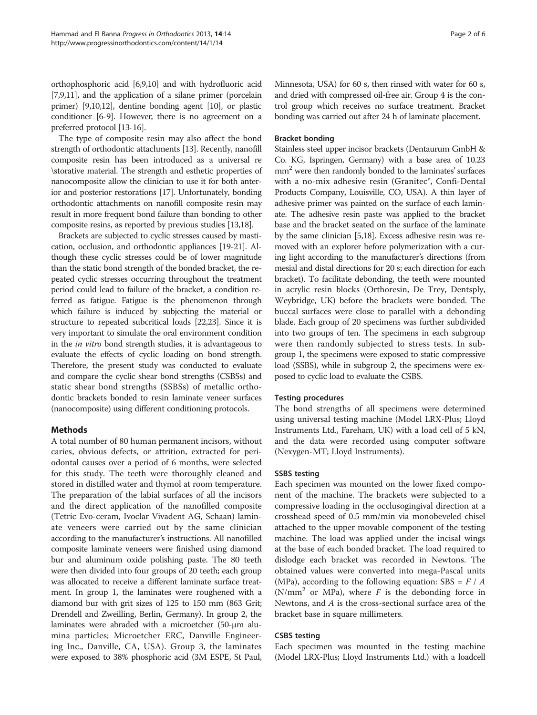orthophosphoric acid [\[6,9,10](#page-4-0)] and with hydrofluoric acid [[7,9,11\]](#page-4-0), and the application of a silane primer (porcelain primer) [\[9,10,12](#page-4-0)], dentine bonding agent [[10](#page-4-0)], or plastic conditioner [\[6-9\]](#page-4-0). However, there is no agreement on a preferred protocol [\[13-16\]](#page-4-0).

The type of composite resin may also affect the bond strength of orthodontic attachments [\[13\]](#page-4-0). Recently, nanofill composite resin has been introduced as a universal re \storative material. The strength and esthetic properties of nanocomposite allow the clinician to use it for both anterior and posterior restorations [[17](#page-4-0)]. Unfortunately, bonding orthodontic attachments on nanofill composite resin may result in more frequent bond failure than bonding to other composite resins, as reported by previous studies [\[13,18](#page-4-0)].

Brackets are subjected to cyclic stresses caused by mastication, occlusion, and orthodontic appliances [\[19-21\]](#page-4-0). Although these cyclic stresses could be of lower magnitude than the static bond strength of the bonded bracket, the repeated cyclic stresses occurring throughout the treatment period could lead to failure of the bracket, a condition referred as fatigue. Fatigue is the phenomenon through which failure is induced by subjecting the material or structure to repeated subcritical loads [\[22,23](#page-4-0)]. Since it is very important to simulate the oral environment condition in the in vitro bond strength studies, it is advantageous to evaluate the effects of cyclic loading on bond strength. Therefore, the present study was conducted to evaluate and compare the cyclic shear bond strengths (CSBSs) and static shear bond strengths (SSBSs) of metallic orthodontic brackets bonded to resin laminate veneer surfaces (nanocomposite) using different conditioning protocols.

#### Methods

A total number of 80 human permanent incisors, without caries, obvious defects, or attrition, extracted for periodontal causes over a period of 6 months, were selected for this study. The teeth were thoroughly cleaned and stored in distilled water and thymol at room temperature. The preparation of the labial surfaces of all the incisors and the direct application of the nanofilled composite (Tetric Evo-ceram, Ivoclar Vivadent AG, Schaan) laminate veneers were carried out by the same clinician according to the manufacturer's instructions. All nanofilled composite laminate veneers were finished using diamond bur and aluminum oxide polishing paste. The 80 teeth were then divided into four groups of 20 teeth; each group was allocated to receive a different laminate surface treatment. In group 1, the laminates were roughened with a diamond bur with grit sizes of 125 to 150 mm (863 Grit; Drendell and Zweilling, Berlin, Germany). In group 2, the laminates were abraded with a microetcher (50-μm alumina particles; Microetcher ERC, Danville Engineering Inc., Danville, CA, USA). Group 3, the laminates were exposed to 38% phosphoric acid (3M ESPE, St Paul, Minnesota, USA) for 60 s, then rinsed with water for 60 s, and dried with compressed oil-free air. Group 4 is the control group which receives no surface treatment. Bracket bonding was carried out after 24 h of laminate placement.

#### Bracket bonding

Stainless steel upper incisor brackets (Dentaurum GmbH & Co. KG, Ispringen, Germany) with a base area of 10.23 mm<sup>2</sup> were then randomly bonded to the laminates' surfaces with a no-mix adhesive resin (Granitec®, Confi-Dental Products Company, Louisville, CO, USA). A thin layer of adhesive primer was painted on the surface of each laminate. The adhesive resin paste was applied to the bracket base and the bracket seated on the surface of the laminate by the same clinician [\[5,18](#page-4-0)]. Excess adhesive resin was removed with an explorer before polymerization with a curing light according to the manufacturer's directions (from mesial and distal directions for 20 s; each direction for each bracket). To facilitate debonding, the teeth were mounted in acrylic resin blocks (Orthoresin, De Trey, Dentsply, Weybridge, UK) before the brackets were bonded. The buccal surfaces were close to parallel with a debonding blade. Each group of 20 specimens was further subdivided into two groups of ten. The specimens in each subgroup were then randomly subjected to stress tests. In subgroup 1, the specimens were exposed to static compressive load (SSBS), while in subgroup 2, the specimens were exposed to cyclic load to evaluate the CSBS.

#### Testing procedures

The bond strengths of all specimens were determined using universal testing machine (Model LRX-Plus; Lloyd Instruments Ltd., Fareham, UK) with a load cell of 5 kN, and the data were recorded using computer software (Nexygen-MT; Lloyd Instruments).

#### SSBS testing

Each specimen was mounted on the lower fixed component of the machine. The brackets were subjected to a compressive loading in the occlusogingival direction at a crosshead speed of 0.5 mm/min via monobeveled chisel attached to the upper movable component of the testing machine. The load was applied under the incisal wings at the base of each bonded bracket. The load required to dislodge each bracket was recorded in Newtons. The obtained values were converted into mega-Pascal units (MPa), according to the following equation: SBS =  $F / A$  $(N/mm<sup>2</sup>$  or MPa), where F is the debonding force in Newtons, and A is the cross-sectional surface area of the bracket base in square millimeters.

#### CSBS testing

Each specimen was mounted in the testing machine (Model LRX-Plus; Lloyd Instruments Ltd.) with a loadcell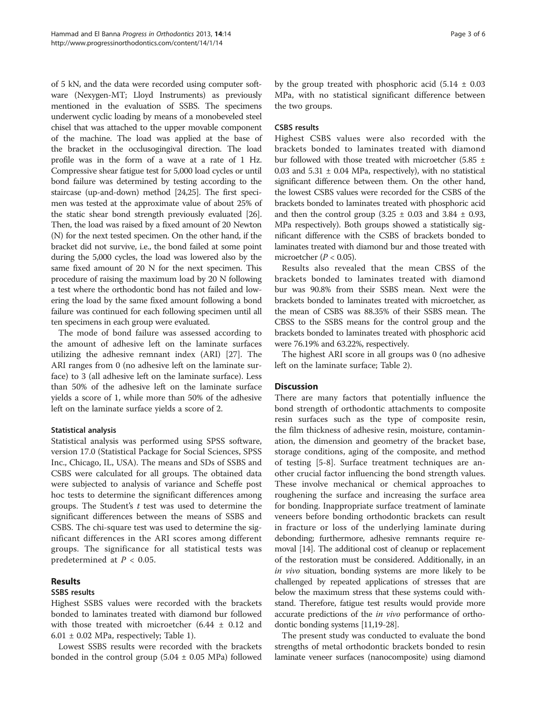of 5 kN, and the data were recorded using computer software (Nexygen-MT; Lloyd Instruments) as previously mentioned in the evaluation of SSBS. The specimens underwent cyclic loading by means of a monobeveled steel chisel that was attached to the upper movable component of the machine. The load was applied at the base of the bracket in the occlusogingival direction. The load profile was in the form of a wave at a rate of 1 Hz. Compressive shear fatigue test for 5,000 load cycles or until bond failure was determined by testing according to the staircase (up-and-down) method [[24,25\]](#page-4-0). The first specimen was tested at the approximate value of about 25% of the static shear bond strength previously evaluated [[26](#page-5-0)]. Then, the load was raised by a fixed amount of 20 Newton (N) for the next tested specimen. On the other hand, if the bracket did not survive, i.e., the bond failed at some point during the 5,000 cycles, the load was lowered also by the same fixed amount of 20 N for the next specimen. This procedure of raising the maximum load by 20 N following a test where the orthodontic bond has not failed and lowering the load by the same fixed amount following a bond failure was continued for each following specimen until all ten specimens in each group were evaluated.

The mode of bond failure was assessed according to the amount of adhesive left on the laminate surfaces utilizing the adhesive remnant index (ARI) [[27\]](#page-5-0). The ARI ranges from 0 (no adhesive left on the laminate surface) to 3 (all adhesive left on the laminate surface). Less than 50% of the adhesive left on the laminate surface yields a score of 1, while more than 50% of the adhesive left on the laminate surface yields a score of 2.

#### Statistical analysis

Statistical analysis was performed using SPSS software, version 17.0 (Statistical Package for Social Sciences, SPSS Inc., Chicago, IL, USA). The means and SDs of SSBS and CSBS were calculated for all groups. The obtained data were subjected to analysis of variance and Scheffe post hoc tests to determine the significant differences among groups. The Student's  $t$  test was used to determine the significant differences between the means of SSBS and CSBS. The chi-square test was used to determine the significant differences in the ARI scores among different groups. The significance for all statistical tests was predetermined at  $P < 0.05$ .

# Results

#### SSBS results

Highest SSBS values were recorded with the brackets bonded to laminates treated with diamond bur followed with those treated with microetcher  $(6.44 \pm 0.12)$  and  $6.01 \pm 0.02$  MPa, respectively; Table [1\)](#page-3-0).

Lowest SSBS results were recorded with the brackets bonded in the control group  $(5.04 \pm 0.05 \text{ MPa})$  followed by the group treated with phosphoric acid  $(5.14 \pm 0.03)$ MPa, with no statistical significant difference between the two groups.

#### CSBS results

Highest CSBS values were also recorded with the brackets bonded to laminates treated with diamond bur followed with those treated with microetcher  $(5.85 \pm 1)$ 0.03 and  $5.31 \pm 0.04$  MPa, respectively), with no statistical significant difference between them. On the other hand, the lowest CSBS values were recorded for the CSBS of the brackets bonded to laminates treated with phosphoric acid and then the control group  $(3.25 \pm 0.03$  and  $3.84 \pm 0.93$ , MPa respectively). Both groups showed a statistically significant difference with the CSBS of brackets bonded to laminates treated with diamond bur and those treated with microetcher  $(P < 0.05)$ .

Results also revealed that the mean CBSS of the brackets bonded to laminates treated with diamond bur was 90.8% from their SSBS mean. Next were the brackets bonded to laminates treated with microetcher, as the mean of CSBS was 88.35% of their SSBS mean. The CBSS to the SSBS means for the control group and the brackets bonded to laminates treated with phosphoric acid were 76.19% and 63.22%, respectively.

The highest ARI score in all groups was 0 (no adhesive left on the laminate surface; Table [2\)](#page-3-0).

## **Discussion**

There are many factors that potentially influence the bond strength of orthodontic attachments to composite resin surfaces such as the type of composite resin, the film thickness of adhesive resin, moisture, contamination, the dimension and geometry of the bracket base, storage conditions, aging of the composite, and method of testing [[5-8\]](#page-4-0). Surface treatment techniques are another crucial factor influencing the bond strength values. These involve mechanical or chemical approaches to roughening the surface and increasing the surface area for bonding. Inappropriate surface treatment of laminate veneers before bonding orthodontic brackets can result in fracture or loss of the underlying laminate during debonding; furthermore, adhesive remnants require removal [\[14\]](#page-4-0). The additional cost of cleanup or replacement of the restoration must be considered. Additionally, in an in vivo situation, bonding systems are more likely to be challenged by repeated applications of stresses that are below the maximum stress that these systems could withstand. Therefore, fatigue test results would provide more accurate predictions of the in vivo performance of orthodontic bonding systems [[11,19-](#page-4-0)[28\]](#page-5-0).

The present study was conducted to evaluate the bond strengths of metal orthodontic brackets bonded to resin laminate veneer surfaces (nanocomposite) using diamond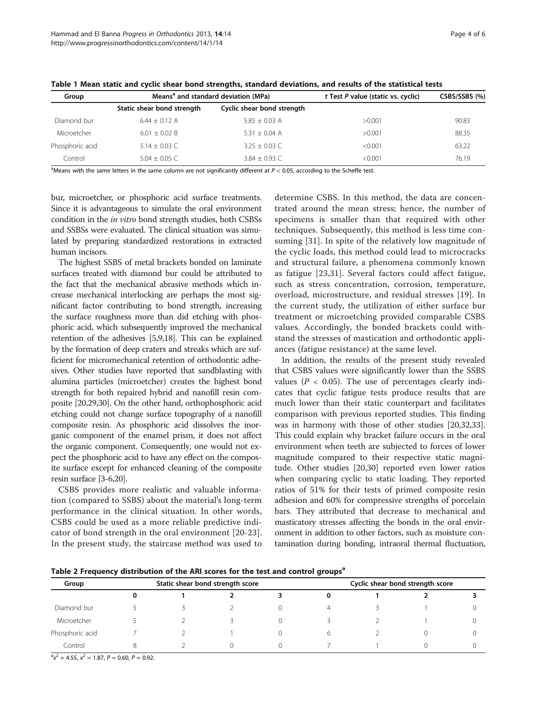| Group           |                            | Means <sup>a</sup> and standard deviation (MPa) | t Test P value (static vs. cyclic) | CSBS/SSBS (%) |  |
|-----------------|----------------------------|-------------------------------------------------|------------------------------------|---------------|--|
|                 | Static shear bond strength | Cyclic shear bond strength                      |                                    |               |  |
| Diamond bur     | $6.44 + 0.12$ A            | $5.85 + 0.03$ A                                 | >0.001                             | 90.83         |  |
| Microetcher     | $6.01 + 0.02 B$            | $5.31 + 0.04$ A                                 | >0.001                             | 88.35         |  |
| Phosphoric acid | $5.14 + 0.03$ C            | $3.25 + 0.03$ C                                 | < 0.001                            | 63.22         |  |
| Control         | $5.04 + 0.05$ C            | $3.84 + 0.93$ C                                 | < 0.001                            | 76.19         |  |

<span id="page-3-0"></span>Table 1 Mean static and cyclic shear bond strengths, standard deviations, and results of the statistical tests

<sup>a</sup>Means with the same letters in the same column are not significantly different at P < 0.05, according to the Scheffe test.

bur, microetcher, or phosphoric acid surface treatments. Since it is advantageous to simulate the oral environment condition in the in vitro bond strength studies, both CSBSs and SSBSs were evaluated. The clinical situation was simulated by preparing standardized restorations in extracted human incisors.

The highest SSBS of metal brackets bonded on laminate surfaces treated with diamond bur could be attributed to the fact that the mechanical abrasive methods which increase mechanical interlocking are perhaps the most significant factor contributing to bond strength, increasing the surface roughness more than did etching with phosphoric acid, which subsequently improved the mechanical retention of the adhesives [[5,9,18\]](#page-4-0). This can be explained by the formation of deep craters and streaks which are sufficient for micromechanical retention of orthodontic adhesives. Other studies have reported that sandblasting with alumina particles (microetcher) creates the highest bond strength for both repaired hybrid and nanofill resin composite [\[20](#page-4-0)[,29,30](#page-5-0)]. On the other hand, orthophosphoric acid etching could not change surface topography of a nanofill composite resin. As phosphoric acid dissolves the inorganic component of the enamel prism, it does not affect the organic component. Consequently, one would not expect the phosphoric acid to have any effect on the composite surface except for enhanced cleaning of the composite resin surface [[3-6,20](#page-4-0)].

CSBS provides more realistic and valuable information (compared to SSBS) about the material's long-term performance in the clinical situation. In other words, CSBS could be used as a more reliable predictive indicator of bond strength in the oral environment [[20](#page-4-0)-[23](#page-4-0)]. In the present study, the staircase method was used to

determine CSBS. In this method, the data are concentrated around the mean stress; hence, the number of specimens is smaller than that required with other techniques. Subsequently, this method is less time consuming [[31](#page-5-0)]. In spite of the relatively low magnitude of the cyclic loads, this method could lead to microcracks and structural failure, a phenomena commonly known as fatigue [[23,](#page-4-0)[31](#page-5-0)]. Several factors could affect fatigue, such as stress concentration, corrosion, temperature, overload, microstructure, and residual stresses [\[19](#page-4-0)]. In the current study, the utilization of either surface bur treatment or microetching provided comparable CSBS values. Accordingly, the bonded brackets could withstand the stresses of mastication and orthodontic appliances (fatigue resistance) at the same level.

In addition, the results of the present study revealed that CSBS values were significantly lower than the SSBS values ( $P < 0.05$ ). The use of percentages clearly indicates that cyclic fatigue tests produce results that are much lower than their static counterpart and facilitates comparison with previous reported studies. This finding was in harmony with those of other studies [[20](#page-4-0)[,32,33](#page-5-0)]. This could explain why bracket failure occurs in the oral environment when teeth are subjected to forces of lower magnitude compared to their respective static magnitude. Other studies [\[20](#page-4-0)[,30\]](#page-5-0) reported even lower ratios when comparing cyclic to static loading. They reported ratios of 51% for their tests of primed composite resin adhesion and 60% for compressive strengths of porcelain bars. They attributed that decrease to mechanical and masticatory stresses affecting the bonds in the oral environment in addition to other factors, such as moisture contamination during bonding, intraoral thermal fluctuation,

Table 2 Frequency distribution of the ARI scores for the test and control groups<sup>a</sup>

| . .<br>Group    | . .<br>Static shear bond strength score |  |  | $\sim$<br>Cyclic shear bond strength score |   |  |  |  |
|-----------------|-----------------------------------------|--|--|--------------------------------------------|---|--|--|--|
|                 |                                         |  |  |                                            |   |  |  |  |
| Diamond bur     |                                         |  |  |                                            | 4 |  |  |  |
| Microetcher     |                                         |  |  |                                            |   |  |  |  |
| Phosphoric acid |                                         |  |  |                                            |   |  |  |  |
| Control         | 8                                       |  |  |                                            |   |  |  |  |

 $a^2x^2 = 4.55$ ,  $x^2 = 1.87$ ,  $P = 0.60$ ,  $P = 0.92$ .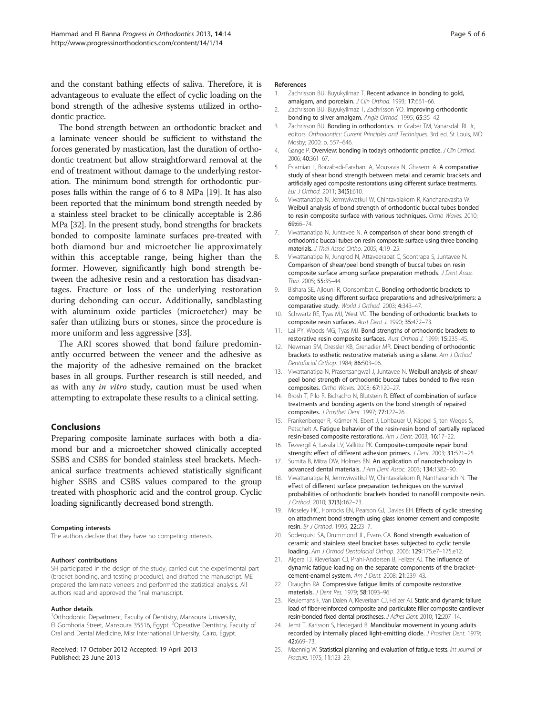<span id="page-4-0"></span>and the constant bathing effects of saliva. Therefore, it is advantageous to evaluate the effect of cyclic loading on the bond strength of the adhesive systems utilized in orthodontic practice.

The bond strength between an orthodontic bracket and a laminate veneer should be sufficient to withstand the forces generated by mastication, last the duration of orthodontic treatment but allow straightforward removal at the end of treatment without damage to the underlying restoration. The minimum bond strength for orthodontic purposes falls within the range of 6 to 8 MPa [19]. It has also been reported that the minimum bond strength needed by a stainless steel bracket to be clinically acceptable is 2.86 MPa [\[32](#page-5-0)]. In the present study, bond strengths for brackets bonded to composite laminate surfaces pre-treated with both diamond bur and microetcher lie approximately within this acceptable range, being higher than the former. However, significantly high bond strength between the adhesive resin and a restoration has disadvantages. Fracture or loss of the underlying restoration during debonding can occur. Additionally, sandblasting with aluminum oxide particles (microetcher) may be safer than utilizing burs or stones, since the procedure is more uniform and less aggressive [[33\]](#page-5-0).

The ARI scores showed that bond failure predominantly occurred between the veneer and the adhesive as the majority of the adhesive remained on the bracket bases in all groups. Further research is still needed, and as with any in vitro study, caution must be used when attempting to extrapolate these results to a clinical setting.

#### Conclusions

Preparing composite laminate surfaces with both a diamond bur and a microetcher showed clinically accepted SSBS and CSBS for bonded stainless steel brackets. Mechanical surface treatments achieved statistically significant higher SSBS and CSBS values compared to the group treated with phosphoric acid and the control group. Cyclic loading significantly decreased bond strength.

#### Competing interests

The authors declare that they have no competing interests.

#### Authors' contributions

SH participated in the design of the study, carried out the experimental part (bracket bonding, and testing procedure), and drafted the manuscript. ME prepared the laminate veneers and performed the statistical analysis. All authors read and approved the final manuscript.

#### Author details

<sup>1</sup>Orthodontic Department, Faculty of Dentistry, Mansoura University, El Gomhoria Street, Mansoura 35516, Egypt. <sup>2</sup>Operative Dentistry, Faculty of Oral and Dental Medicine, Misr International University, Cairo, Egypt.

Received: 17 October 2012 Accepted: 19 April 2013 Published: 23 June 2013

#### References

- 1. Zachrisson BU, Buyukyilmaz T. Recent advance in bonding to gold, amalgam, and porcelain. J Clin Orthod. 1993: 17:661-66.
- 2. Zachrisson BU, Buyukyilmaz T, Zachrisson YO. Improving orthodontic bonding to silver amalgam. Angle Orthod. 1995; 65:35–42.
- 3. Zachrisson BU. Bonding in orthodontics. In: Graber TM, Vanarsdall RL Jr, editors. Orthodontics: Current Principles and Techniques. 3rd ed. St Louis, MO: Mosby; 2000: p. 557–646.
- 4. Gange P. Overview: bonding in today's orthodontic practice. J Clin Orthod. 2006; 40:361–67.
- 5. Eslamian L, Borzabadi-Farahani A, Mousavia N, Ghasemi A. A comparative study of shear bond strength between metal and ceramic brackets and artificially aged composite restorations using different surface treatments. Eur J Orthod. 2011; 34(5):610.
- 6. Viwattanatipa N, Jermwiwatkul W, Chintavalakorn R, Kanchanavasita W. Weibull analysis of bond strength of orthodontic buccal tubes bonded to resin composite surface with various techniques. Ortho Waves. 2010; 69:66–74.
- 7. Viwattanatipa N, Juntavee N. A comparison of shear bond strength of orthodontic buccal tubes on resin composite surface using three bonding materials. *I Thai Assoc Ortho*. 2005; 4:19-25.
- 8. Viwattanatipa N, Jungrod N, Attaveerapat C, Soontrapa S, Juntavee N. Comparison of shear/peel bond strength of buccal tubes on resin composite surface among surface preparation methods. J Dent Assoc Thai. 2005; 55:35–44.
- 9. Bishara SE, Ajlouni R, Oonsombat C. Bonding orthodontic brackets to composite using different surface preparations and adhesive/primers: a comparative study. World J Orthod. 2003; 4:343–47.
- 10. Schwartz RE, Tyas MJ, West VC. The bonding of orthodontic brackets to composite resin surfaces. Aust Dent J. 1990; 35:472–73.
- 11. Lai PY, Woods MG, Tyas MJ. Bond strengths of orthodontic brackets to restorative resin composite surfaces. Aust Orthod J. 1999; 15:235–45.
- 12. Newman SM, Dressler KB, Grenadier MR. Direct bonding of orthodontic brackets to esthetic restorative materials using a silane. Am J Orthod Dentofacial Orthop. 1984; 86:503–06.
- 13. Viwattanatipa N, Prasertsangwal J, Juntavee N. Weibull analysis of shear/ peel bond strength of orthodontic buccal tubes bonded to five resin composites. Ortho Waves. 2008; 67:120–27.
- 14. Brosh T, Pilo R, Bichacho N, Blutstein R. Effect of combination of surface treatments and bonding agents on the bond strength of repaired composites. J Prosthet Dent. 1997; 77:122–26.
- 15. Frankenberger R, Krämer N, Ebert J, Lohbauer U, Käppel S, ten Weges S, Petschelt A. Fatigue behavior of the resin-resin bond of partially replaced resin-based composite restorations. Am J Dent. 2003; 16:17–22.
- 16. Tezvergil A, Lassila LV, Vallittu PK. Composite-composite repair bond strength: effect of different adhesion primers. J Dent. 2003; 31:521-25.
- 17. Sumita B, Mitra DW, Holmes BN. An application of nanotechnology in advanced dental materials. J Am Dent Assoc. 2003; 134:1382–90.
- 18. Viwattanatipa N, Jermwiwatkul W, Chintavalakorn R, Nanthavanich N. The effect of different surface preparation techniques on the survival probabilities of orthodontic brackets bonded to nanofill composite resin. J Orthod. 2010; 37(3):162–73.
- 19. Moseley HC, Horrocks EN, Pearson GJ, Davies EH. Effects of cyclic stressing on attachment bond strength using glass ionomer cement and composite resin. Br J Orthod. 1995; 22:23–7.
- 20. Soderquist SA, Drummond JL, Evans CA. Bond strength evaluation of ceramic and stainless steel bracket bases subjected to cyclic tensile loading. Am J Orthod Dentofacial Orthop. 2006; 129:175.e7–175.e12.
- 21. Algera TJ, Kleverlaan CJ, Prahl-Andersen B, Feilzer AJ. The influence of dynamic fatigue loading on the separate components of the bracketcement-enamel system. Am J Dent. 2008; 21:239–43.
- 22. Draughn RA. Compressive fatigue limits of composite restorative materials. J Dent Res. 1979; 58:1093–96.
- 23. Keulemans F, Van Dalen A, Kleverlaan CJ, Feilzer AJ. Static and dynamic failure load of fiber-reinforced composite and particulate filler composite cantilever resin-bonded fixed dental prostheses. J Adhes Dent. 2010; 12:207–14.
- 24. Jemt T, Karlsson S, Hedegard B. Mandibular movement in young adults recorded by internally placed light-emitting diode. J Prosthet Dent. 1979; 42:669–73.
- 25. Maennig W. Statistical planning and evaluation of fatigue tests. Int Journal of Fracture. 1975; 11:123–29.